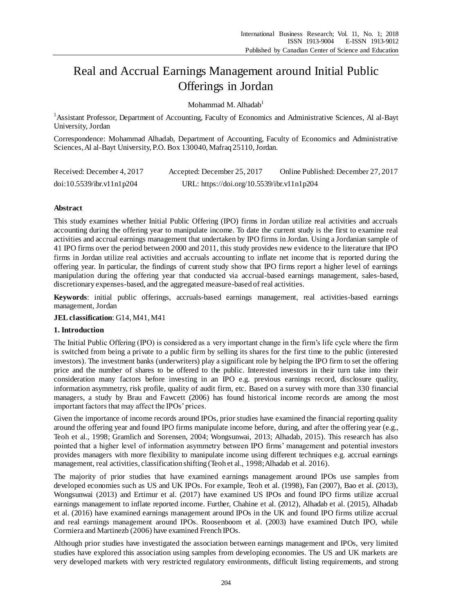# Real and Accrual Earnings Management around Initial Public Offerings in Jordan

Mohammad M. Alhadab<sup>1</sup>

<sup>1</sup> Assistant Professor, Department of Accounting, Faculty of Economics and Administrative Sciences, Al al-Bayt University, Jordan

Correspondence: Mohammad Alhadab, Department of Accounting, Faculty of Economics and Administrative Sciences, Al al-Bayt University, P.O. Box 130040, Mafraq 25110, Jordan.

| Received: December 4, 2017 | Accepted: December 25, 2017                | Online Published: December 27, 2017 |
|----------------------------|--------------------------------------------|-------------------------------------|
| doi:10.5539/ibr.v11nlp204  | URL: https://doi.org/10.5539/ibr.v11n1p204 |                                     |

# **Abstract**

This study examines whether Initial Public Offering (IPO) firms in Jordan utilize real activities and accruals accounting during the offering year to manipulate income. To date the current study is the first to examine real activities and accrual earnings management that undertaken by IPO firms in Jordan. Using a Jordanian sample of 41 IPO firms over the period between 2000 and 2011, this study provides new evidence to the literature that IPO firms in Jordan utilize real activities and accruals accounting to inflate net income that is reported during the offering year. In particular, the findings of current study show that IPO firms report a higher level of earnings manipulation during the offering year that conducted via accrual-based earnings management, sales-based, discretionary expenses-based, and the aggregated measure-based of real activities.

**Keywords**: initial public offerings, accruals-based earnings management, real activities-based earnings management, Jordan

**JEL classification**: G14, M41, M41

# **1. Introduction**

The Initial Public Offering (IPO) is considered as a very important change in the firm's life cycle where the firm is switched from being a private to a public firm by selling its shares for the first time to the public (interested investors). The investment banks (underwriters) play a significant role by helping the IPO firm to set the offering price and the number of shares to be offered to the public. Interested investors in their turn take into their consideration many factors before investing in an IPO e.g. previous earnings record, disclosure quality, information asymmetry, risk profile, quality of audit firm, etc. Based on a survey with more than 330 financial managers, a study by Brau and Fawcett (2006) has found historical income records are among the most important factors that may affect the IPOs' prices.

Given the importance of income records around IPOs, prior studies have examined the financial reporting quality around the offering year and found IPO firms manipulate income before, during, and after the offering year (e.g., Teoh et al., 1998; Gramlich and Sorensen, 2004; Wongsunwai, 2013; Alhadab, 2015). This research has also pointed that a higher level of information asymmetry between IPO firms' management and potential investors provides managers with more flexibility to manipulate income using different techniques e.g. accrual earnings management, real activities, classification shifting (Teoh et al., 1998; Alhadab et al. 2016).

The majority of prior studies that have examined earnings management around IPOs use samples from developed economies such as US and UK IPOs. For example, Teoh et al. (1998), Fan (2007), Bao et al. (2013), Wongsunwai (2013) and Ertimur et al. (2017) have examined US IPOs and found IPO firms utilize accrual earnings management to inflate reported income. Further, Chahine et al. (2012), Alhadab et al. (2015), Alhadab et al. (2016) have examined earnings management around IPOs in the UK and found IPO firms utilize accrual and real earnings management around IPOs. Roosenboom et al. (2003) have examined Dutch IPO, while [Cormiera](http://www.sciencedirect.com/science/article/pii/S0020706306000458#!) and Martinezb (2006) have examined French IPOs.

Although prior studies have investigated the association between earnings management and IPOs, very limited studies have explored this association using samples from developing economies. The US and UK markets are very developed markets with very restricted regulatory environments, difficult listing requirements, and strong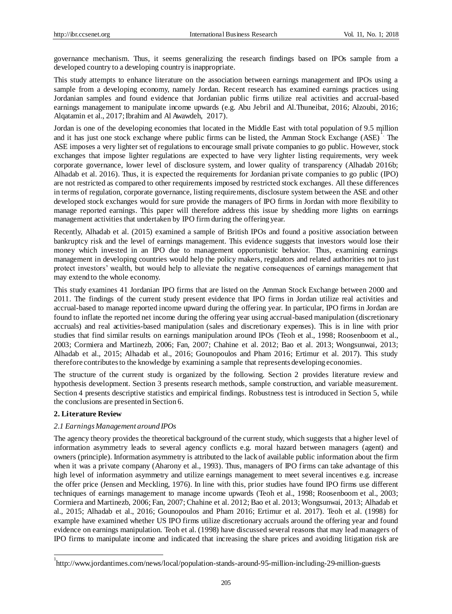governance mechanism. Thus, it seems generalizing the research findings based on IPOs sample from a developed country to a developing country is inappropriate.

This study attempts to enhance literature on the association between earnings management and IPOs using a sample from a developing economy, namely Jordan. Recent research has examined earnings practices using Jordanian samples and found evidence that Jordanian public firms utilize real activities and accrual-based earnings management to manipulate income upwards (e.g. Abu Jebril and Al.Thuneibat, 2016; Alzoubi, 2016; Alqatamin et al., 2017; Ibrahim and Al Awawdeh, 2017).

Jordan is one of the developing economies that located in the Middle East with total population of 9.5 million and it has just one stock exchange where public firms can be listed, the Amman Stock Exchange (ASE) The ASE imposes a very lighter set of regulations to encourage small private companies to go public. However, stock exchanges that impose lighter regulations are expected to have very lighter listing requirements, very week corporate governance, lower level of disclosure system, and lower quality of transparency (Alhadab 2016b; Alhadab et al. 2016). Thus, it is expected the requirements for Jordanian private companies to go public (IPO) are not restricted as compared to other requirements imposed by restricted stock exchanges. All these differences in terms of regulation, corporate governance, listing requirements, disclosure system between the ASE and other developed stock exchanges would for sure provide the managers of IPO firms in Jordan with more flexibility to manage reported earnings. This paper will therefore address this issue by shedding more lights on earnings management activities that undertaken by IPO firm during the offering year.

Recently, Alhadab et al. (2015) examined a sample of British IPOs and found a positive association between bankruptcy risk and the level of earnings management. This evidence suggests that investors would lose their money which invested in an IPO due to management opportunistic behavior. Thus, examining earnings management in developing countries would help the policy makers, regulators and related authorities not to just protect investors' wealth, but would help to alleviate the negative consequences of earnings management that may extend to the whole economy.

This study examines 41 Jordanian IPO firms that are listed on the Amman Stock Exchange between 2000 and 2011. The findings of the current study present evidence that IPO firms in Jordan utilize real activities and accrual-based to manage reported income upward during the offering year. In particular, IPO firms in Jordan are found to inflate the reported net income during the offering year using accrual-based manipulation (discretionary accruals) and real activities-based manipulation (sales and discretionary expenses). This is in line with prior studies that find similar results on earnings manipulation around IPOs (Teoh et al., 1998; Roosenboom et al., 2003; [Cormiera](http://www.sciencedirect.com/science/article/pii/S0020706306000458#!) and Martinezb, 2006; Fan, 2007; Chahine et al. 2012; Bao et al. 2013; Wongsunwai, 2013; Alhadab et al., 2015; Alhadab et al., 2016; Gounopoulos and Pham 2016; Ertimur et al. 2017). This study therefore contributes to the knowledge by examining a sample that represents developing economies.

The structure of the current study is organized by the following. Section 2 provides literature review and hypothesis development. Section 3 presents research methods, sample construction, and variable measurement. Section 4 presents descriptive statistics and empirical findings. Robustness test is introduced in Section 5, while the conclusions are presented in Section 6.

# **2. Literature Review**

 $\frac{1}{4}$ 

# *2.1 Earnings Management around IPOs*

The agency theory provides the theoretical background of the current study, which suggests that a higher level of information asymmetry leads to several agency conflicts e.g. moral hazard between managers (agent) and owners (principle). Information asymmetry is attributed to the lack of available public information about the firm when it was a private company (Aharony et al., 1993). Thus, managers of IPO firms can take advantage of this high level of information asymmetry and utilize earnings management to meet several incentives e.g. increase the offer price (Jensen and Meckling, 1976). In line with this, prior studies have found IPO firms use different techniques of earnings management to manage income upwards (Teoh et al., 1998; Roosenboom et al., 2003; [Cormiera](http://www.sciencedirect.com/science/article/pii/S0020706306000458#!) [and Martinezb,](http://www.sciencedirect.com/science/article/pii/S0020706306000458#!) 2006; Fan, 2007; Chahine et al. 2012; Bao et al. 2013; Wongsunwai, 2013; Alhadab et al., 2015; Alhadab et al., 2016; Gounopoulos and Pham 2016; Ertimur et al. 2017). Teoh et al. (1998) for example have examined whether US IPO firms utilize discretionary accruals around the offering year and found evidence on earnings manipulation. Teoh et al. (1998) have discussed several reasons that may lead managers of IPO firms to manipulate income and indicated that increasing the share prices and avoiding litigation risk are

<sup>&</sup>lt;sup>1</sup>http://www.jordantimes.com/news/local/population-stands-around-95-million-including-29-million-guests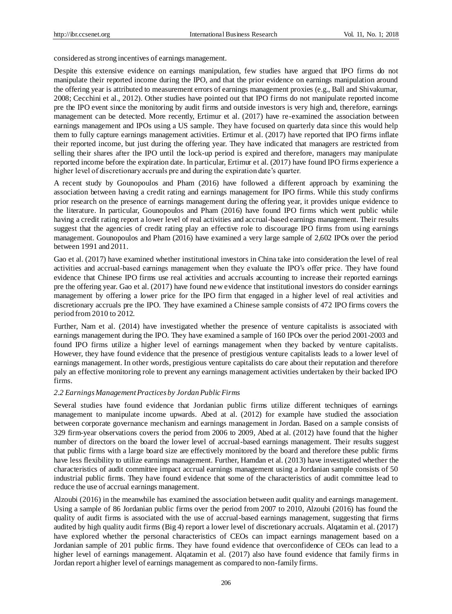considered as strong incentives of earnings management.

Despite this extensive evidence on earnings manipulation, few studies have argued that IPO firms do not manipulate their reported income during the IPO, and that the prior evidence on earnings manipulation around the offering year is attributed to measurement errors of earnings management proxies (e.g., Ball and Shivakumar, 2008; Cecchini et al., 2012). Other studies have pointed out that IPO firms do not manipulate reported income pre the IPO event since the monitoring by audit firms and outside investors is very high and, therefore, earnings management can be detected. More recently, Ertimur et al. (2017) have re-examined the association between earnings management and IPOs using a US sample. They have focused on quarterly data since this would help them to fully capture earnings management activities. Ertimur et al. (2017) have reported that IPO firms inflate their reported income, but just during the offering year. They have indicated that managers are restricted from selling their shares after the IPO until the lock-up period is expired and therefore, managers may manipulate reported income before the expiration date. In particular, Ertimur et al. (2017) have found IPO firms experience a higher level of discretionary accruals pre and during the expiration date's quarter.

A recent study by Gounopoulos and Pham (2016) have followed a different approach by examining the association between having a credit rating and earnings management for IPO firms. While this study confirms prior research on the presence of earnings management during the offering year, it provides unique evidence to the literature. In particular, Gounopoulos and Pham (2016) have found IPO firms which went public while having a credit rating report a lower level of real activities and accrual-based earnings management. Their results suggest that the agencies of credit rating play an effective role to discourage IPO firms from using earnings management. Gounopoulos and Pham (2016) have examined a very large sample of 2,602 IPOs over the period between 1991 and 2011.

Gao et al. (2017) have examined whether institutional investors in China take into consideration the level of real activities and accrual-based earnings management when they evaluate the IPO's offer price. They have found evidence that Chinese IPO firms use real activities and accruals accounting to increase their reported earnings pre the offering year. Gao et al. (2017) have found new evidence that institutional investors do consider earnings management by offering a lower price for the IPO firm that engaged in a higher level of real activities and discretionary accruals pre the IPO. They have examined a Chinese sample consists of 472 IPO firms covers the period from 2010 to 2012.

Further, Nam et al. (2014) have investigated whether the presence of venture capitalists is associated with earnings management during the IPO. They have examined a sample of 160 IPOs over the period 2001-2003 and found IPO firms utilize a higher level of earnings management when they backed by venture capitalists. However, they have found evidence that the presence of prestigious venture capitalists leads to a lower level of earnings management. In other words, prestigious venture capitalists do care about their reputation and therefore paly an effective monitoring role to prevent any earnings management activities undertaken by their backed IPO firms.

#### *2.2 Earnings Management Practices by Jordan Public Firms*

Several studies have found evidence that Jordanian public firms utilize different techniques of earnings management to manipulate income upwards. Abed at al. (2012) for example have studied the association between corporate governance mechanism and earnings management in Jordan. Based on a sample consists of 329 firm-year observations covers the period from 2006 to 2009, Abed at al. (2012) have found that the higher number of directors on the board the lower level of accrual-based earnings management. Their results suggest that public firms with a large board size are effectively monitored by the board and therefore these public firms have less flexibility to utilize earnings management. Further, Hamdan et al. (2013) have investigated whether the characteristics of audit committee impact accrual earnings management using a Jordanian sample consists of 50 industrial public firms. They have found evidence that some of the characteristics of audit committee lead to reduce the use of accrual earnings management.

Alzoubi (2016) in the meanwhile has examined the association between audit quality and earnings management. Using a sample of 86 Jordanian public firms over the period from 2007 to 2010, Alzoubi (2016) has found the quality of audit firms is associated with the use of accrual-based earnings management, suggesting that firms audited by high quality audit firms (Big 4) report a lower level of discretionary accruals. Alqatamin et al. (2017) have explored whether the personal characteristics of CEOs can impact earnings management based on a Jordanian sample of 201 public firms. They have found evidence that overconfidence of CEOs can lead to a higher level of earnings management. Alqatamin et al. (2017) also have found evidence that family firms in Jordan report a higher level of earnings management as compared to non-family firms.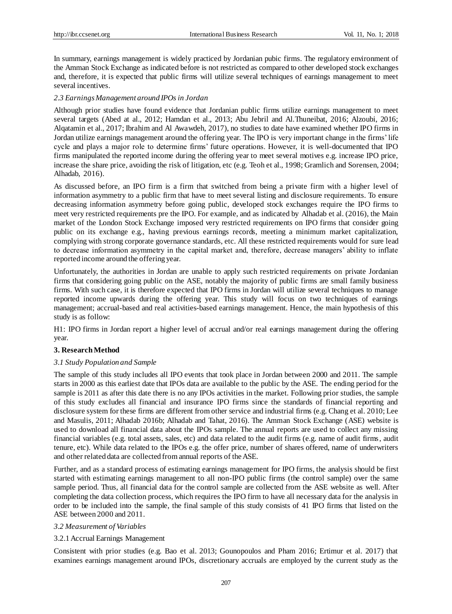In summary, earnings management is widely practiced by Jordanian pubic firms. The regulatory environment of the Amman Stock Exchange as indicated before is not restricted as compared to other developed stock exchanges and, therefore, it is expected that public firms will utilize several techniques of earnings management to meet several incentives.

#### *2.3 Earnings Management around IPOs in Jordan*

Although prior studies have found evidence that Jordanian public firms utilize earnings management to meet several targets (Abed at al., 2012; Hamdan et al., 2013; Abu Jebril and Al.Thuneibat, 2016; Alzoubi, 2016; Alqatamin et al., 2017; Ibrahim and Al Awawdeh, 2017), no studies to date have examined whether IPO firms in Jordan utilize earnings management around the offering year. The IPO is very important change in the firms' life cycle and plays a major role to determine firms' future operations. However, it is well-documented that IPO firms manipulated the reported income during the offering year to meet several motives e.g. increase IPO price, increase the share price, avoiding the risk of litigation, etc (e.g. Teoh et al., 1998; Gramlich and Sorensen, 2004; Alhadab, 2016).

As discussed before, an IPO firm is a firm that switched from being a private firm with a higher level of information asymmetry to a public firm that have to meet several listing and disclosure requirements. To ensure decreasing information asymmetry before going public, developed stock exchanges require the IPO firms to meet very restricted requirements pre the IPO. For example, and as indicated by Alhadab et al. (2016), the Main market of the London Stock Exchange imposed very restricted requirements on IPO firms that consider going public on its exchange e.g., having previous earnings records, meeting a minimum market capitalization, complying with strong corporate governance standards, etc. All these restricted requirements would for sure lead to decrease information asymmetry in the capital market and, therefore, decrease managers' ability to inflate reported income around the offering year.

Unfortunately, the authorities in Jordan are unable to apply such restricted requirements on private Jordanian firms that considering going public on the ASE, notably the majority of public firms are small family business firms. With such case, it is therefore expected that IPO firms in Jordan will utilize several techniques to manage reported income upwards during the offering year. This study will focus on two techniques of earnings management; accrual-based and real activities-based earnings management. Hence, the main hypothesis of this study is as follow:

H1: IPO firms in Jordan report a higher level of accrual and/or real earnings management during the offering year.

#### **3. Research Method**

#### *3.1 Study Population and Sample*

The sample of this study includes all IPO events that took place in Jordan between 2000 and 2011. The sample starts in 2000 as this earliest date that IPOs data are available to the public by the ASE. The ending period for the sample is 2011 as after this date there is no any IPOs activities in the market. Following prior studies, the sample of this study excludes all financial and insurance IPO firms since the standards of financial reporting and disclosure system for these firms are different from other service and industrial firms (e.g. Chang et al. 2010; Lee and Masulis, 2011; Alhadab 2016b; Alhadab and Tahat, 2016). The Amman Stock Exchange (ASE) website is used to download all financial data about the IPOs sample. The annual reports are used to collect any missing financial variables (e.g. total assets, sales, etc) and data related to the audit firms (e.g. name of audit firms, audit tenure, etc). While data related to the IPOs e.g. the offer price, number of shares offered, name of underwriters and other related data are collected from annual reports of the ASE.

Further, and as a standard process of estimating earnings management for IPO firms, the analysis should be first started with estimating earnings management to all non-IPO public firms (the control sample) over the same sample period. Thus, all financial data for the control sample are collected from the ASE website as well. After completing the data collection process, which requires the IPO firm to have all necessary data for the analysis in order to be included into the sample, the final sample of this study consists of 41 IPO firms that listed on the ASE between 2000 and 2011.

#### *3.2 Measurement of Variables*

#### 3.2.1 Accrual Earnings Management

Consistent with prior studies (e.g. Bao et al. 2013; Gounopoulos and Pham 2016; Ertimur et al. 2017) that examines earnings management around IPOs, discretionary accruals are employed by the current study as the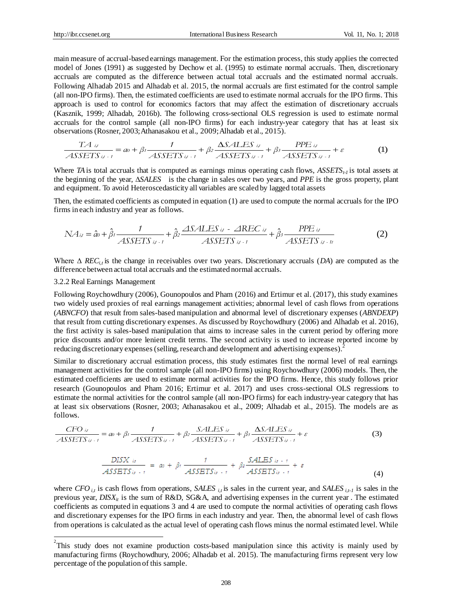main measure of accrual-based earnings management. For the estimation process, this study applies the corrected model of Jones (1991) as suggested by Dechow et al. (1995) to estimate normal accruals. Then, discretionary accruals are computed as the difference between actual total accruals and the estimated normal accruals. Following Alhadab 2015 and Alhadab et al. 2015, the normal accruals are first estimated for the control sample (all non-IPO firms). Then, the estimated coefficients are used to estimate normal accruals for the IPO firms. This approach is used to control for economics factors that may affect the estimation of discretionary accruals (Kasznik, 1999; Alhadab, 2016b). The following cross-sectional OLS regression is used to estimate normal accruals for the control sample (all non-IPO firms) for each industry-year category that has at least six observations (Rosner, 2003; Athanasakou et al., 2009; Alhadab et al., 2015).

$$
\frac{TA_{i\mu}}{ASSETS_{i\mu-1}} = a_0 + \beta_1 \frac{1}{ASSETS_{i\mu-1}} + \beta_2 \frac{ASALES_{i\mu}}{ASSETS_{i\mu-1}} + \beta_3 \frac{PPE_{i\mu}}{ASSETS_{i\mu-1}} + \varepsilon
$$
(1)

Where *TA* is total accruals that is computed as earnings minus operating cash flows, *ASSETSt-1* is total assets at the beginning of the year, ∆*SALES* is the change in sales over two years, and *PPE* is the gross property, plant and equipment. To avoid Heteroscedasticity all variables are scaled by lagged total assets

Then, the estimated coefficients as computed in equation (1) are used to compute the normal accruals for the IPO firms in each industry and year as follows.

$$
NA_{i\mu} = \hat{a}_0 + \hat{\beta}_1 \frac{1}{\mathcal{A}SSETS_{i\mu - 1}} + \hat{\beta}_2 \frac{\mathcal{A}SALES_{i\mu} - \mathcal{A}REC_{i\mu}}{\mathcal{A}SSETS_{i\mu - 1}} + \hat{\beta}_3 \frac{PPE_{i\mu}}{\mathcal{A}SSETS_{i\mu - 1i}} \tag{2}
$$

Where ∆ *REC<sub>it</sub>* is the change in receivables over two years. Discretionary accruals (*DA*) are computed as the difference between actual total accruals and the estimated normal accruals.

#### 3.2.2 Real Earnings Management

Following Roychowdhury (2006), Gounopoulos and Pham (2016) and Ertimur et al. (2017), this study examines two widely used proxies of real earnings management activities; abnormal level of cash flows from operations (*ABNCFO*) that result from sales-based manipulation and abnormal level of discretionary expenses (*ABNDEXP*) that result from cutting discretionary expenses. As discussed by Roychowdhury (2006) and Alhadab et al. 2016), the first activity is sales-based manipulation that aims to increase sales in the current period by offering more price discounts and/or more lenient credit terms. The second activity is used to increase reported income by reducing discretionary expenses (selling, research and development and advertising expenses).<sup>2</sup>

Similar to discretionary accrual estimation process, this study estimates first the normal level of real earnings management activities for the control sample (all non-IPO firms) using Roychowdhury (2006) models. Then, the estimated coefficients are used to estimate normal activities for the IPO firms. Hence, this study follows prior research (Gounopoulos and Pham 2016; Ertimur et al. 2017) and uses cross-sectional OLS regressions to estimate the normal activities for the control sample (all non-IPO firms) for each industry-year category that has at least six observations (Rosner, 2003; Athanasakou et al., 2009; Alhadab et al., 2015). The models are as follows.

$$
\frac{CFO_{ij}}{ASSETS_{ij-1}} = a_0 + \beta_1 \frac{1}{ASSETS_{ij-1}} + \beta_2 \frac{SALES_{ij}}{ASSETS_{ij-1}} + \beta_3 \frac{ASALES_{ij}}{ASSETS_{ij-1}} + \varepsilon
$$
(3)

$$
\frac{DISX_{ij}}{ASSETS_{ij-1}} = a_0 + \beta_1 \frac{1}{ASSETS_{ij-1}} + \beta_2 \frac{SALES_{ij-1}}{ASSETS_{ij-1}} + \varepsilon
$$
\n(4)

where  $CFO_{i,t}$  is cash flows from operations, *SALES*  $_{i,t}$  is sales in the current year, and *SALES*  $_{i,t}$  is sales in the previous year, *DISX<sub>it</sub>* is the sum of R&D, SG&A, and advertising expenses in the current year. The estimated coefficients as computed in equations 3 and 4 are used to compute the normal activities of operating cash flows and discretionary expenses for the IPO firms in each industry and year. Then, the abnormal level of cash flows from operations is calculated as the actual level of operating cash flows minus the normal estimated level. While

<sup>&</sup>lt;sup>2</sup><br><sup>2</sup>This study does not examine production costs-based manipulation since this activity is mainly used by manufacturing firms (Roychowdhury, 2006; Alhadab et al. 2015). The manufacturing firms represent very low percentage of the population of this sample.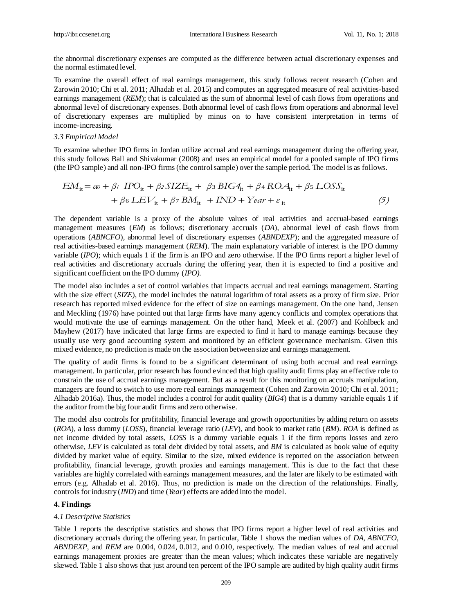the abnormal discretionary expenses are computed as the difference between actual discretionary expenses and the normal estimated level.

To examine the overall effect of real earnings management, this study follows recent research (Cohen and Zarowin 2010; Chi et al. 2011; Alhadab et al. 2015) and computes an aggregated measure of real activities-based earnings management (*REM*); that is calculated as the sum of abnormal level of cash flows from operations and abnormal level of discretionary expenses. Both abnormal level of cash flows from operations and abnormal level of discretionary expenses are multiplied by minus on to have consistent interpretation in terms of income-increasing.

#### *3.3 Empirical Model*

To examine whether IPO firms in Jordan utilize accrual and real earnings management during the offering year, this study follows Ball and Shivakumar (2008) and uses an empirical model for a pooled sample of IPO firms (the IPO sample) and all non-IPO firms (the control sample) over the sample period. The model is as follows.

$$
EM_{it} = a_0 + \beta_1 \text{ IPO}_{it} + \beta_2 \text{SIZE}_{it} + \beta_3 \text{ BIG4}_{it} + \beta_4 \text{ RO4}_{it} + \beta_5 \text{ LOS5}_{it}
$$

$$
+ \beta_6 \text{ LEV}_{it} + \beta_7 \text{ BM}_{it} + \text{IND} + \text{Year} + \varepsilon_{it}
$$
(5)

The dependent variable is a proxy of the absolute values of real activities and accrual-based earnings management measures (*EM*) as follows; discretionary accruals (*DA*), abnormal level of cash flows from operations (*ABNCFO*), abnormal level of discretionary expenses (*ABNDEXP*); and the aggregated measure of real activities-based earnings management (*REM*). The main explanatory variable of interest is the IPO dummy variable (*IPO*); which equals 1 if the firm is an IPO and zero otherwise. If the IPO firms report a higher level of real activities and discretionary accruals during the offering year, then it is expected to find a positive and significant coefficient on the IPO dummy (*IPO)*.

The model also includes a set of control variables that impacts accrual and real earnings management. Starting with the size effect *(SIZE)*, the model includes the natural logarithm of total assets as a proxy of firm size. Prior research has reported mixed evidence for the effect of size on earnings management. On the one hand, Jensen and Meckling (1976) have pointed out that large firms have many agency conflicts and complex operations that would motivate the use of earnings management. On the other hand, Meek et al. (2007) and Kohlbeck and Mayhew (2017) have indicated that large firms are expected to find it hard to manage earnings because they usually use very good accounting system and monitored by an efficient governance mechanism. Given this mixed evidence, no prediction is made on the association between size and earnings management.

The quality of audit firms is found to be a significant determinant of using both accrual and real earnings management. In particular, prior research has found evinced that high quality audit firms play an effective role to constrain the use of accrual earnings management. But as a result for this monitoring on accruals manipulation, managers are found to switch to use more real earnings management (Cohen and Zarowin 2010; Chi et al. 2011; Alhadab 2016a). Thus, the model includes a control for audit quality (*BIG4*) that is a dummy variable equals 1 if the auditor from the big four audit firms and zero otherwise.

The model also controls for profitability, financial leverage and growth opportunities by adding return on assets (*ROA*), a loss dummy (*LOSS*), financial leverage ratio (*LEV*), and book to market ratio (*BM*). *ROA* is defined as net income divided by total assets, *LOSS* is a dummy variable equals 1 if the firm reports losses and zero otherwise, *LEV* is calculated as total debt divided by total assets, and *BM* is calculated as book value of equity divided by market value of equity. Similar to the size, mixed evidence is reported on the association between profitability, financial leverage, growth proxies and earnings management. This is due to the fact that these variables are highly correlated with earnings management measures, and the later are likely to be estimated with errors (e.g. Alhadab et al. 2016). Thus, no prediction is made on the direction of the relationships. Finally, controls for industry (*IND*) and time (*Year*) effects are added into the model.

#### **4. Findings**

#### *4.1 Descriptive Statistics*

Table 1 reports the descriptive statistics and shows that IPO firms report a higher level of real activities and discretionary accruals during the offering year. In particular, Table 1 shows the median values of *DA*, *ABNCFO*, *ABNDEXP*, and *REM* are 0.004, 0.024, 0.012, and 0.010, respectively. The median values of real and accrual earnings management proxies are greater than the mean values; which indicates these variable are negatively skewed. Table 1 also shows that just around ten percent of the IPO sample are audited by high quality audit firms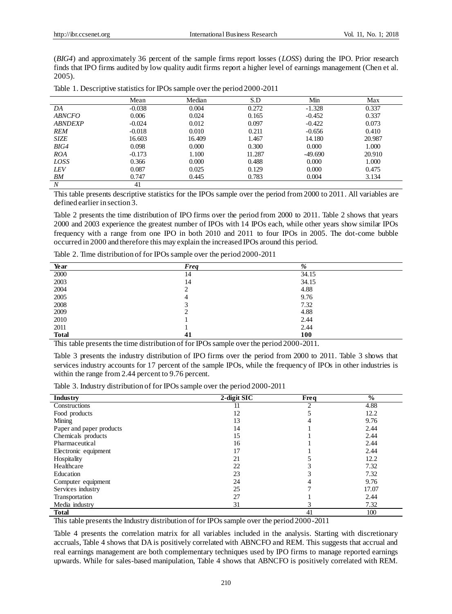*N* 41

| Mean     | Median | S.D    | Min                                                                       | Max                                                                                                               |
|----------|--------|--------|---------------------------------------------------------------------------|-------------------------------------------------------------------------------------------------------------------|
| $-0.038$ | 0.004  | 0.272  | $-1.328$                                                                  | 0.337                                                                                                             |
| 0.006    | 0.024  | 0.165  | $-0.452$                                                                  | 0.337                                                                                                             |
| $-0.024$ | 0.012  | 0.097  | $-0.422$                                                                  | 0.073                                                                                                             |
| $-0.018$ | 0.010  | 0.211  | $-0.656$                                                                  | 0.410                                                                                                             |
| 16.603   | 16.409 | 1.467  | 14.180                                                                    | 20.987                                                                                                            |
| 0.098    | 0.000  | 0.300  | 0.000                                                                     | 1.000                                                                                                             |
| $-0.173$ | 1.100  | 11.287 | $-49.690$                                                                 | 20.910                                                                                                            |
| 0.366    | 0.000  | 0.488  | 0.000                                                                     | 1.000                                                                                                             |
|          |        |        | Table 1. Descriptive statistics for IPOs sample over the period 2000-2011 | finds that IPO firms audited by low quality audit firms report a higher level of earnings management (Chen et al. |

(*BIG4*) and approximately 36 percent of the sample firms report losses (*LOSS*) during the IPO. Prior research

This table presents descriptive statistics for the IPOs sample over the period from 2000 to 2011. All variables are defined earlier in section 3.

*LEV* 0.087 0.025 0.129 0.000 0.475 *BM* 0.747 0.445 0.783 0.004 3.134

Table 2 presents the time distribution of IPO firms over the period from 2000 to 2011. Table 2 shows that years 2000 and 2003 experience the greatest number of IPOs with 14 IPOs each, while other years show similar IPOs frequency with a range from one IPO in both 2010 and 2011 to four IPOs in 2005. The dot-come bubble occurred in 2000 and therefore this may explain the increased IPOs around this period.

| Year         | Freq   | %     |
|--------------|--------|-------|
| 2000         | 14     | 34.15 |
| 2003         | 14     | 34.15 |
| 2004         | ◠<br>∠ | 4.88  |
| 2005         | 4      | 9.76  |
| 2008         | ◠      | 7.32  |
| 2009         |        | 4.88  |
| 2010         |        | 2.44  |
| 2011         |        | 2.44  |
| <b>Total</b> | 41     | 100   |

Table 2. Time distribution of for IPOs sample over the period 2000-2011

This table presents the time distribution of for IPOs sample over the period 2000-2011.

Table 3 presents the industry distribution of IPO firms over the period from 2000 to 2011. Table 3 shows that services industry accounts for 17 percent of the sample IPOs, while the frequency of IPOs in other industries is within the range from 2.44 percent to 9.76 percent.

Table 3. Industry distribution of for IPOs sample over the period 2000-2011

| Industry                 | $2$ -digit SIC | Freq | $\frac{0}{0}$ |
|--------------------------|----------------|------|---------------|
| Constructions            | 11             |      | 4.88          |
| Food products            | 12             |      | 12.2          |
| Mining                   | 13             |      | 9.76          |
| Paper and paper products | 14             |      | 2.44          |
| Chemicals products       | 15             |      | 2.44          |
| Pharmaceutical           | 16             |      | 2.44          |
| Electronic equipment     | 17             |      | 2.44          |
| Hospitality              | 21             |      | 12.2          |
| Healthcare               | 22             |      | 7.32          |
| Education                | 23             |      | 7.32          |
| Computer equipment       | 24             |      | 9.76          |
| Services industry        | 25             |      | 17.07         |
| Transportation           | 27             |      | 2.44          |
| Media industry           | 31             |      | 7.32          |
| <b>Total</b>             |                | 41   | 100           |

This table presents the Industry distribution of for IPOs sample over the period 2000-2011

Table 4 presents the correlation matrix for all variables included in the analysis. Starting with discretionary accruals, Table 4 shows that DA is positively correlated with ABNCFO and REM. This suggests that accrual and real earnings management are both complementary techniques used by IPO firms to manage reported earnings upwards. While for sales-based manipulation, Table 4 shows that ABNCFO is positively correlated with REM.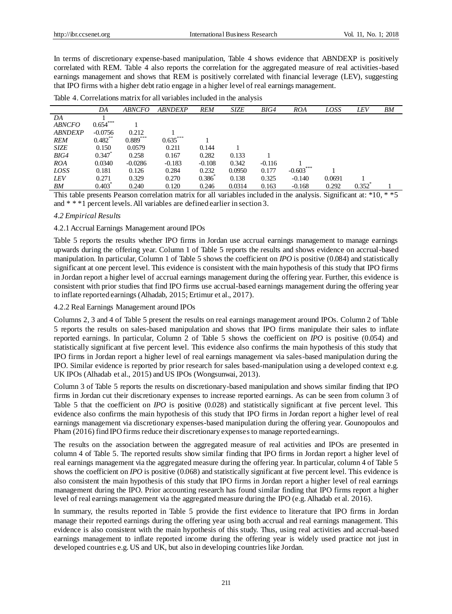In terms of discretionary expense-based manipulation, Table 4 shows evidence that ABNDEXP is positively correlated with REM. Table 4 also reports the correlation for the aggregated measure of real activities-based earnings management and shows that REM is positively correlated with financial leverage (LEV), suggesting that IPO firms with a higher debt ratio engage in a higher level of real earnings management.

| Table 4. Correlations matrix for all variables included in the analysis |  |
|-------------------------------------------------------------------------|--|
|-------------------------------------------------------------------------|--|

|                | DA                   | <b>ABNCFO</b> | <i><b>ABNDEXP</b></i> | <b>REM</b>        | <b>SIZE</b> | BIG4     | <b>ROA</b>            | LOSS   | LEV   | BМ |
|----------------|----------------------|---------------|-----------------------|-------------------|-------------|----------|-----------------------|--------|-------|----|
| DA             |                      |               |                       |                   |             |          |                       |        |       |    |
| <b>ABNCFO</b>  | $0.654$ <sup>*</sup> |               |                       |                   |             |          |                       |        |       |    |
| <b>ABNDEXP</b> | $-0.0756$            | 0.212         |                       |                   |             |          |                       |        |       |    |
| <b>REM</b>     | $0.482$ **           | $0.889***$    | $0.635***$            |                   |             |          |                       |        |       |    |
| SIZE           | 0.150                | 0.0579        | 0.211                 | 0.144             |             |          |                       |        |       |    |
| BIG4           | 0.347                | 0.258         | 0.167                 | 0.282             | 0.133       |          |                       |        |       |    |
| <b>ROA</b>     | 0.0340               | $-0.0286$     | $-0.183$              | $-0.108$          | 0.342       | $-0.116$ |                       |        |       |    |
| LOSS           | 0.181                | 0.126         | 0.284                 | 0.232             | 0.0950      | 0.177    | $-0.603$ <sup>*</sup> |        |       |    |
| <b>LEV</b>     | 0.271                | 0.329         | 0.270                 | $0.386^{\degree}$ | 0.138       | 0.325    | $-0.140$              | 0.0691 |       |    |
| BM             | $0.403$ <sup>*</sup> | 0.240         | 0.120                 | 0.246             | 0.0314      | 0.163    | $-0.168$              | 0.292  | 0.352 |    |

This table presents Pearson correlation matrix for all variables included in the analysis. Significant at: \*10, \* \*5 and \* \* \*1 percent levels. All variables are defined earlier in section 3.

#### *4.2 Empirical Results*

#### 4.2.1 Accrual Earnings Management around IPOs

Table 5 reports the results whether IPO firms in Jordan use accrual earnings management to manage earnings upwards during the offering year. Column 1 of Table 5 reports the results and shows evidence on accrual-based manipulation. In particular, Column 1 of Table 5 shows the coefficient on *IPO* is positive (0.084) and statistically significant at one percent level. This evidence is consistent with the main hypothesis of this study that IPO firms in Jordan report a higher level of accrual earnings management during the offering year. Further, this evidence is consistent with prior studies that find IPO firms use accrual-based earnings management during the offering year to inflate reported earnings (Alhadab, 2015; Ertimur et al., 2017).

#### 4.2.2 Real Earnings Management around IPOs

Columns 2, 3 and 4 of Table 5 present the results on real earnings management around IPOs. Column 2 of Table 5 reports the results on sales-based manipulation and shows that IPO firms manipulate their sales to inflate reported earnings. In particular, Column 2 of Table 5 shows the coefficient on *IPO* is positive (0.054) and statistically significant at five percent level. This evidence also confirms the main hypothesis of this study that IPO firms in Jordan report a higher level of real earnings management via sales-based manipulation during the IPO. Similar evidence is reported by prior research for sales based-manipulation using a developed context e.g. UK IPOs (Alhadab et al., 2015) and US IPOs (Wongsunwai, 2013).

Column 3 of Table 5 reports the results on discretionary-based manipulation and shows similar finding that IPO firms in Jordan cut their discretionary expenses to increase reported earnings. As can be seen from column 3 of Table 5 that the coefficient on *IPO* is positive (0.028) and statistically significant at five percent level. This evidence also confirms the main hypothesis of this study that IPO firms in Jordan report a higher level of real earnings management via discretionary expenses-based manipulation during the offering year. Gounopoulos and Pham (2016) find IPO firms reduce their discretionary expenses to manage reported earnings.

The results on the association between the aggregated measure of real activities and IPOs are presented in column 4 of Table 5. The reported results show similar finding that IPO firms in Jordan report a higher level of real earnings management via the aggregated measure during the offering year. In particular, column 4 of Table 5 shows the coefficient on *IPO* is positive (0.068) and statistically significant at five percent level. This evidence is also consistent the main hypothesis of this study that IPO firms in Jordan report a higher level of real earnings management during the IPO. Prior accounting research has found similar finding that IPO firms report a higher level of real earnings management via the aggregated measure during the IPO (e.g. Alhadab et al. 2016).

In summary, the results reported in Table 5 provide the first evidence to literature that IPO firms in Jordan manage their reported earnings during the offering year using both accrual and real earnings management. This evidence is also consistent with the main hypothesis of this study. Thus, using real activities and accrual-based earnings management to inflate reported income during the offering year is widely used practice not just in developed countries e.g. US and UK, but also in developing countries like Jordan.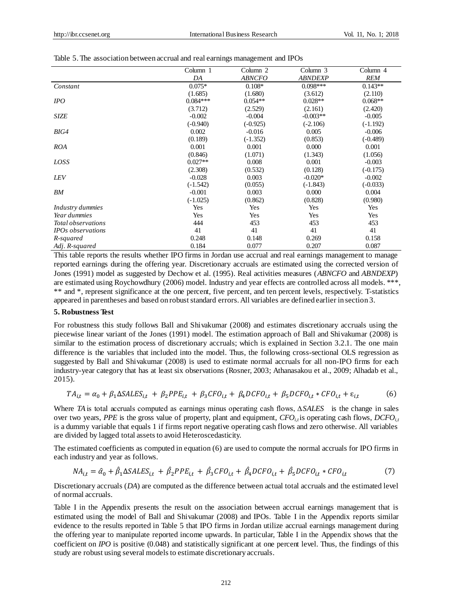|                          | Column 1   | Column 2      | Column 3       | Column 4   |
|--------------------------|------------|---------------|----------------|------------|
|                          | DA         | <b>ABNCFO</b> | <b>ABNDEXP</b> | <b>REM</b> |
| Constant                 | $0.075*$   | $0.108*$      | $0.098***$     | $0.143**$  |
|                          | (1.685)    | (1.680)       | (3.612)        | (2.110)    |
| IPO                      | $0.084***$ | $0.054**$     | $0.028**$      | $0.068**$  |
|                          | (3.712)    | (2.529)       | (2.161)        | (2.420)    |
| <b>SIZE</b>              | $-0.002$   | $-0.004$      | $-0.003**$     | $-0.005$   |
|                          | $(-0.940)$ | $(-0.925)$    | $(-2.106)$     | $(-1.192)$ |
| BIG4                     | 0.002      | $-0.016$      | 0.005          | $-0.006$   |
|                          | (0.189)    | $(-1.352)$    | (0.853)        | $(-0.489)$ |
| <b>ROA</b>               | 0.001      | 0.001         | 0.000          | 0.001      |
|                          | (0.846)    | (1.071)       | (1.343)        | (1.056)    |
| LOSS                     | $0.027**$  | 0.008         | 0.001          | $-0.003$   |
|                          | (2.308)    | (0.532)       | (0.128)        | $(-0.175)$ |
| <b>LEV</b>               | $-0.028$   | 0.003         | $-0.020*$      | $-0.002$   |
|                          | $(-1.542)$ | (0.055)       | $(-1.843)$     | $(-0.033)$ |
| BM                       | $-0.001$   | 0.003         | 0.000          | 0.004      |
|                          | $(-1.025)$ | (0.862)       | (0.828)        | (0.980)    |
| Industry dummies         | Yes        | Yes           | Yes            | Yes        |
| Year dummies             | Yes        | Yes           | Yes            | Yes        |
| Total observations       | 444        | 453           | 453            | 453        |
| <b>IPOs</b> observations | 41         | 41            | 41             | 41         |
| R-squared                | 0.248      | 0.148         | 0.269          | 0.158      |
| Adj. R-squared           | 0.184      | 0.077         | 0.207          | 0.087      |

#### Table 5. The association between accrual and real earnings management and IPOs

This table reports the results whether IPO firms in Jordan use accrual and real earnings management to manage reported earnings during the offering year. Discretionary accruals are estimated using the corrected version of Jones (1991) model as suggested by Dechow et al. (1995). Real activities measures (*ABNCFO* and *ABNDEXP*) are estimated using Roychowdhury (2006) model. Industry and year effects are controlled across all models. \*\*\*, \*\* and \*, represent significance at the one percent, five percent, and ten percent levels, respectively. T-statistics appeared in parentheses and based on robust standard errors. All variables are defined earlier in section 3.

#### **5. Robustness Test**

For robustness this study follows Ball and Shivakumar (2008) and estimates discretionary accruals using the piecewise linear variant of the Jones (1991) model. The estimation approach of Ball and Shivakumar (2008) is similar to the estimation process of discretionary accruals; which is explained in Section 3.2.1. The one main difference is the variables that included into the model. Thus, the following cross-sectional OLS regression as suggested by Ball and Shivakumar (2008) is used to estimate normal accruals for all non-IPO firms for each industry-year category that has at least six observations (Rosner, 2003; Athanasakou et al., 2009; Alhadab et al., 2015).

$$
TA_{i,t} = \alpha_0 + \beta_1 \Delta SALES_{i,t} + \beta_2 PPE_{i,t} + \beta_3 CFO_{i,t} + \beta_4 DCFO_{i,t} + \beta_5 DCFO_{i,t} * CFO_{i,t} + \varepsilon_{i,t}
$$
(6)

Where *TA* is total accruals computed as earnings minus operating cash flows, ∆*SALES* is the change in sales over two years, *PPE* is the gross value of property, plant and equipment, *CFOi,t* is operating cash flows, *DCFOi,t* is a dummy variable that equals 1 if firms report negative operating cash flows and zero otherwise. All variables are divided by lagged total assets to avoid Heteroscedasticity.

The estimated coefficients as computed in equation (6) are used to compute the normal accruals for IPO firms in each industry and year as follows.

$$
NA_{i,t} = \hat{\alpha}_0 + \hat{\beta}_1 \Delta SALES_{i,t} + \hat{\beta}_2 PPE_{i,t} + \hat{\beta}_3 CFO_{i,t} + \hat{\beta}_4 DCFO_{i,t} + \hat{\beta}_5 DCFO_{i,t} * CFO_{i,t}
$$
 (7)

Discretionary accruals (*DA*) are computed as the difference between actual total accruals and the estimated level of normal accruals.

Table I in the Appendix presents the result on the association between accrual earnings management that is estimated using the model of Ball and Shivakumar (2008) and IPOs. Table I in the Appendix reports similar evidence to the results reported in Table 5 that IPO firms in Jordan utilize accrual earnings management during the offering year to manipulate reported income upwards. In particular, Table I in the Appendix shows that the coefficient on *IPO* is positive (0.048) and statistically significant at one percent level. Thus, the findings of this study are robust using several models to estimate discretionary accruals.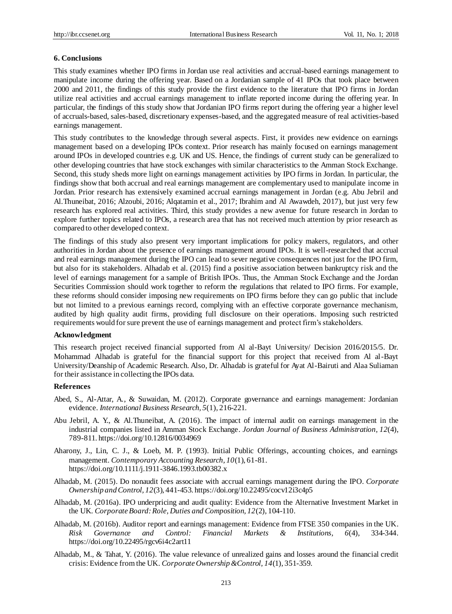#### **6. Conclusions**

This study examines whether IPO firms in Jordan use real activities and accrual-based earnings management to manipulate income during the offering year. Based on a Jordanian sample of 41 IPOs that took place between 2000 and 2011, the findings of this study provide the first evidence to the literature that IPO firms in Jordan utilize real activities and accrual earnings management to inflate reported income during the offering year. In particular, the findings of this study show that Jordanian IPO firms report during the offering year a higher level of accruals-based, sales-based, discretionary expenses-based, and the aggregated measure of real activities-based earnings management.

This study contributes to the knowledge through several aspects. First, it provides new evidence on earnings management based on a developing IPOs context. Prior research has mainly focused on earnings management around IPOs in developed countries e.g. UK and US. Hence, the findings of current study can be generalized to other developing countries that have stock exchanges with similar characteristics to the Amman Stock Exchange. Second, this study sheds more light on earnings management activities by IPO firms in Jordan. In particular, the findings show that both accrual and real earnings management are complementary used to manipulate income in Jordan. Prior research has extensively examined accrual earnings management in Jordan (e.g. Abu Jebril and Al.Thuneibat, 2016; Alzoubi, 2016; Alqatamin et al., 2017; Ibrahim and Al Awawdeh, 2017), but just very few research has explored real activities. Third, this study provides a new avenue for future research in Jordan to explore further topics related to IPOs, a research area that has not received much attention by prior research as compared to other developed context.

The findings of this study also present very important implications for policy makers, regulators, and other authorities in Jordan about the presence of earnings management around IPOs. It is well-researched that accrual and real earnings management during the IPO can lead to sever negative consequences not just for the IPO firm, but also for its stakeholders. Alhadab et al. (2015) find a positive association between bankruptcy risk and the level of earnings management for a sample of British IPOs. Thus, the Amman Stock Exchange and the Jordan Securities Commission should work together to reform the regulations that related to IPO firms. For example, these reforms should consider imposing new requirements on IPO firms before they can go public that include but not limited to a previous earnings record, complying with an effective corporate governance mechanism, audited by high quality audit firms, providing full disclosure on their operations. Imposing such restricted requirements would for sure prevent the use of earnings management and protect firm's stakeholders.

#### **Acknowledgment**

This research project received financial supported from Al al-Bayt University/ Decision 2016/2015/5. Dr. Mohammad Alhadab is grateful for the financial support for this project that received from Al al-Bayt University/Deanship of Academic Research. Also, Dr. Alhadab is grateful for Ayat Al-Bairuti and Alaa Suliaman for their assistance in collecting the IPOs data.

#### **References**

- Abed, S., Al-Attar, A., & Suwaidan, M. (2012). Corporate governance and earnings management: Jordanian evidence. *International Business Research, 5*(1), 216-221.
- Abu Jebril, A. Y., & Al.Thuneibat, A. (2016). The impact of internal audit on earnings management in the industrial companies listed in Amman Stock Exchange. *Jordan Journal of Business Administration, 12*(4), 789-811. https://doi.org/10.12816/0034969
- Aharony, J., Lin, C. J., & Loeb, M. P. (1993). Initial Public Offerings, accounting choices, and earnings management. *Contemporary Accounting Research, 10*(1), 61-81. https://doi.org/10.1111/j.1911-3846.1993.tb00382.x
- Alhadab, M. (2015). Do nonaudit fees associate with accrual earnings management during the IPO. *Corporate Ownership and Control, 12*(3), 441-453. https://doi.org/10.22495/cocv12i3c4p5
- Alhadab, M. (2016a). IPO underpricing and audit quality: Evidence from the Alternative Investment Market in the UK. *Corporate Board: Role, Duties and Composition, 12*(2), 104-110.
- Alhadab, M. (2016b). Auditor report and earnings management: Evidence from FTSE 350 companies in the UK. *Risk Governance and Control: Financial Markets & Institutions, 6*(4), 334-344. https://doi.org/10.22495/rgcv6i4c2art11
- Alhadab, M., & Tahat, Y. (2016). The value relevance of unrealized gains and losses around the financial credit crisis: Evidence from the UK. *Corporate Ownership &Control, 14*(1), 351-359.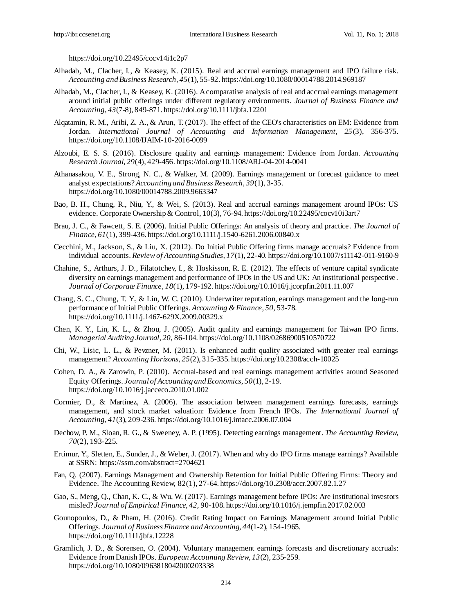https://doi.org/10.22495/cocv14i1c2p7

- Alhadab, M., Clacher, I., & Keasey, K. (2015). [Real and accrual earnings management and IPO failure risk.](http://www.tandfonline.com/doi/abs/10.1080/00014788.2014.969187) *Accounting and Business Research, 45*(1), 55-92. https://doi.org/10.1080/00014788.2014.969187
- Alhadab, M., Clacher, I., & Keasey, K. (2016). A comparative analysis of real and accrual earnings management around initial public offerings under different regulatory environments. *Journal of Business Finance and Accounting, 43*(7-8), 849-871. https://doi.org/10.1111/jbfa.12201
- Alqatamin, R. M., Aribi, Z. A., & Arun, T. (2017). The effect of the CEO's characteristics on EM: Evidence from Jordan. *International Journal of Accounting and Information Management, 25*(3), 356-375. https://doi.org/10.1108/IJAIM-10-2016-0099
- Alzoubi, E. S. S. (2016). Disclosure quality and earnings management: Evidence from Jordan. *Accounting Research Journal, 29*(4), 429-456. https://doi.org/10.1108/ARJ-04-2014-0041
- Athanasakou, V. E., Strong, N. C., & Walker, M. (2009). Earnings management or forecast guidance to meet analyst expectations? *Accounting and Business Research, 39*(1), 3-35. https://doi.org/10.1080/00014788.2009.9663347
- Bao, B. H., Chung, R., Niu, Y., & Wei, S. (2013). Real and accrual earnings management around IPOs: US evidence. Corporate Ownership & Control, 10(3), 76-94. https://doi.org/10.22495/cocv10i3art7
- Brau, J. C., & Fawcett, S. E. (2006). Initial Public Offerings: An analysis of theory and practice. *The Journal of Finance, 61*(1), 399-436. https://doi.org/10.1111/j.1540-6261.2006.00840.x
- Cecchini, M., Jackson, S., & Liu, X. (2012). Do Initial Public Offering firms manage accruals? Evidence from individual accounts. *Review of Accounting Studies, 17*(1), 22-40. https://doi.org/10.1007/s11142-011-9160-9
- Chahine, S., Arthurs, J. D., Filatotchev, I., & Hoskisson, R. E. (2012). The effects of venture capital syndicate diversity on earnings management and performance of IPOs in the US and UK: An institutional perspective. *Journal of Corporate Finance, 18*(1), 179-192. https://doi.org/10.1016/j.jcorpfin.2011.11.007
- Chang, S. C., Chung, T. Y., & Lin, W. C. (2010). Underwriter reputation, earnings management and the long-run performance of Initial Public Offerings. *Accounting & Finance, 50,* 53-78. https://doi.org/10.1111/j.1467-629X.2009.00329.x
- Chen, K. Y., Lin, K. L., & Zhou, J. (2005). Audit quality and earnings management for Taiwan IPO firms. *Managerial Auditing Journal, 20,* 86-104. https://doi.org/10.1108/02686900510570722
- Chi, W., Lisic, L. L., & Pevzner, M. (2011). Is enhanced audit quality associated with greater real earnings management? *Accounting Horizons, 25*(2), 315-335. https://doi.org/10.2308/acch-10025
- Cohen, D. A., & Zarowin, P. (2010). Accrual-based and real earnings management activities around Seasoned Equity Offerings. *Journal of Accounting and Economics, 50*(1), 2-19. https://doi.org/10.1016/j.jacceco.2010.01.002
- Cormier, D., & Martinez, A. (2006). The association between management earnings forecasts, earnings management, and stock market valuation: Evidence from French IPOs. *The International Journal of Accounting, 41*(3), 209-236. https://doi.org/10.1016/j.intacc.2006.07.004
- Dechow, P. M., Sloan, R. G., & Sweeney, A. P. (1995). Detecting earnings management. *The Accounting Review, 70*(2), 193-225.
- Ertimur, Y., Sletten, E., Sunder, J., & Weber, J. (2017). When and why do IPO firms manage earnings? Available at SSRN: <https://ssrn.com/abstract=2704621>
- Fan, Q. (2007). Earnings Management and Ownership Retention for Initial Public Offering Firms: Theory and Evidence. The Accounting Review, 82(1), 27-64. https://doi.org/10.2308/accr.2007.82.1.27
- Gao, S., Meng, Q., Chan, K. C., & Wu, W. (2017). Earnings management before IPOs: Are institutional investors misled? *Journal of Empirical Finance, 42,* 90-108. https://doi.org/10.1016/j.jempfin.2017.02.003
- Gounopoulos, D., & Pham, H. (2016). Credit Rating Impact on Earnings Management around Initial Public Offerings. *Journal of Business Finance and Accounting, 44*(1-2), 154-1965. https://doi.org/10.1111/jbfa.12228
- Gramlich, J. D., & Sorensen, O. (2004). Voluntary management earnings forecasts and discretionary accruals: Evidence from Danish IPOs. *European Accounting Review, 13*(2), 235-259. https://doi.org/10.1080/0963818042000203338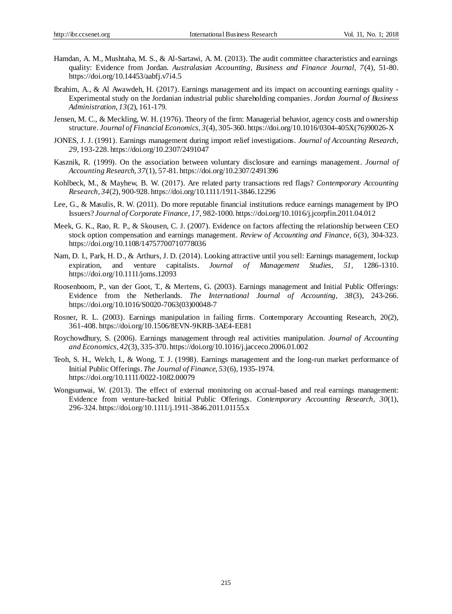- Hamdan, A. M., Mushtaha, M. S., & Al-Sartawi, A. M. (2013). The audit committee characteristics and earnings quality: Evidence from Jordan. *Australasian Accounting, Business and Finance Journal, 7*(4), 51-80. https://doi.org/10.14453/aabfj.v7i4.5
- Ibrahim, A., & Al Awawdeh, H. (2017). Earnings management and its impact on accounting earnings quality Experimental study on the Jordanian industrial public shareholding companies. *Jordan Journal of Business Administration, 13*(2), 161-179.
- Jensen, M. C., & Meckling, W. H. (1976). Theory of the firm: Managerial behavior, agency costs and ownership structure. *Journal of Financial Economics, 3*(4), 305-360. https://doi.org/10.1016/0304-405X(76)90026-X
- JONES, J. J. (1991). Earnings management during import relief investigations. *Journal of Accounting Research, 29,* 193-228. https://doi.org/10.2307/2491047
- Kasznik, R. (1999). On the association between voluntary disclosure and earnings management. *Journal of Accounting Research, 37*(1), 57-81. https://doi.org/10.2307/2491396
- Kohlbeck, M., & Mayhew, B. W. (2017). Are related party transactions red flags? *Contemporary Accounting Research, 34*(2), 900-928. https://doi.org/10.1111/1911-3846.12296
- Lee, G., & Masulis, R. W. (2011). Do more reputable financial institutions reduce earnings management by IPO Issuers? *Journal of Corporate Finance, 17,* 982-1000. https://doi.org/10.1016/j.jcorpfin.2011.04.012
- [Meek,](http://www.emeraldinsight.com/author/Meek%2C+Gary+K) G. K., [Rao,](http://www.emeraldinsight.com/author/Rao%2C+Ramesh+P) R. P., & [Skousen,](http://www.emeraldinsight.com/author/Skousen%2C+Christopher+J) C. J. (2007). Evidence on factors affecting the relationship between CEO stock option compensation and earnings management. *Review of Accounting and Finance, 6*(3), 304-323. https://doi.org/10.1108/14757700710778036
- Nam, D. I., Park, H. D., & Arthurs, J. D. (2014). Looking attractive until you sell: Earnings management, lockup expiration, and venture capitalists. *Journal of Management Studies, 51,* 1286-1310. https://doi.org/10.1111/joms.12093
- Roosenboom, P., van der Goot, T., & Mertens, G. (2003). Earnings management and Initial Public Offerings: Evidence from the Netherlands. *The International Journal of Accounting, 38*(3), 243-266. https://doi.org/10.1016/S0020-7063(03)00048-7
- Rosner, R. L. (2003). Earnings manipulation in failing firms. Contemporary Accounting Research, 20(2), 361-408. https://doi.org/10.1506/8EVN-9KRB-3AE4-EE81
- Roychowdhury, S. (2006). Earnings management through real activities manipulation. *Journal of Accounting and Economics, 42*(3), 335-370. https://doi.org/10.1016/j.jacceco.2006.01.002
- Teoh, S. H., Welch, I., & Wong, T. J. (1998). Earnings management and the long-run market performance of Initial Public Offerings. *The Journal of Finance, 53*(6), 1935-1974. https://doi.org/10.1111/0022-1082.00079
- Wongsunwai, W. (2013). The effect of external monitoring on accrual-based and real earnings management: Evidence from venture-backed Initial Public Offerings. *Contemporary Accounting Research, 30*(1), 296-324. https://doi.org/10.1111/j.1911-3846.2011.01155.x